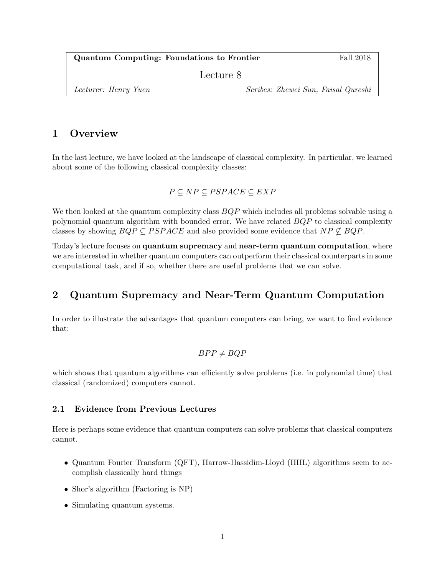Quantum Computing: Foundations to Frontier Fall 2018

Lecture 8

Lecturer: Henry Yuen Scribes: Zhewei Sun, Faisal Qureshi

# 1 Overview

In the last lecture, we have looked at the landscape of classical complexity. In particular, we learned about some of the following classical complexity classes:

 $P \subseteq NP \subseteq PSPACE \subseteq EXP$ 

We then looked at the quantum complexity class  $BQP$  which includes all problems solvable using a polynomial quantum algorithm with bounded error. We have related  $BQP$  to classical complexity classes by showing  $BQP \subseteq PSPACE$  and also provided some evidence that  $NP \nsubseteq BQP$ .

Today's lecture focuses on quantum supremacy and near-term quantum computation, where we are interested in whether quantum computers can outperform their classical counterparts in some computational task, and if so, whether there are useful problems that we can solve.

# 2 Quantum Supremacy and Near-Term Quantum Computation

In order to illustrate the advantages that quantum computers can bring, we want to find evidence that:

$$
BPP \neq BQP
$$

which shows that quantum algorithms can efficiently solve problems (i.e. in polynomial time) that classical (randomized) computers cannot.

## 2.1 Evidence from Previous Lectures

Here is perhaps some evidence that quantum computers can solve problems that classical computers cannot.

- Quantum Fourier Transform (QFT), Harrow-Hassidim-Lloyd (HHL) algorithms seem to accomplish classically hard things
- Shor's algorithm (Factoring is NP)
- Simulating quantum systems.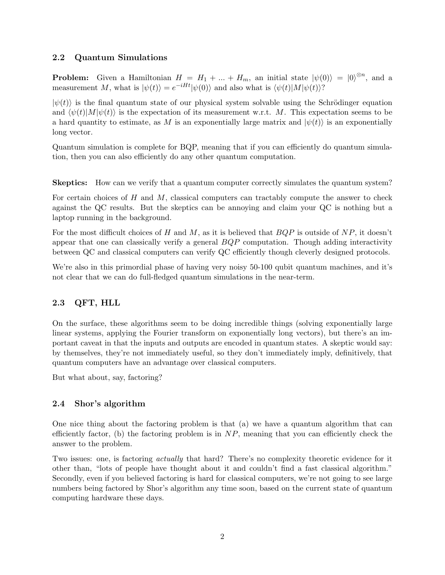## 2.2 Quantum Simulations

**Problem:** Given a Hamiltonian  $H = H_1 + ... + H_m$ , an initial state  $|\psi(0)\rangle = |0\rangle^{\otimes n}$ , and a measurement M, what is  $|\psi(t)\rangle = e^{-iHt}|\psi(0)\rangle$  and also what is  $\langle \psi(t)|M|\psi(t)\rangle$ ?

 $|\psi(t)\rangle$  is the final quantum state of our physical system solvable using the Schrödinger equation and  $\langle \psi(t)|M|\psi(t)\rangle$  is the expectation of its measurement w.r.t. M. This expectation seems to be a hard quantity to estimate, as M is an exponentially large matrix and  $|\psi(t)\rangle$  is an exponentially long vector.

Quantum simulation is complete for BQP, meaning that if you can efficiently do quantum simulation, then you can also efficiently do any other quantum computation.

Skeptics: How can we verify that a quantum computer correctly simulates the quantum system?

For certain choices of  $H$  and  $M$ , classical computers can tractably compute the answer to check against the QC results. But the skeptics can be annoying and claim your QC is nothing but a laptop running in the background.

For the most difficult choices of H and M, as it is believed that  $BQP$  is outside of  $NP$ , it doesn't appear that one can classically verify a general  $BQP$  computation. Though adding interactivity between QC and classical computers can verify QC efficiently though cleverly designed protocols.

We're also in this primordial phase of having very noisy 50-100 qubit quantum machines, and it's not clear that we can do full-fledged quantum simulations in the near-term.

## 2.3 QFT, HLL

On the surface, these algorithms seem to be doing incredible things (solving exponentially large linear systems, applying the Fourier transform on exponentially long vectors), but there's an important caveat in that the inputs and outputs are encoded in quantum states. A skeptic would say: by themselves, they're not immediately useful, so they don't immediately imply, definitively, that quantum computers have an advantage over classical computers.

But what about, say, factoring?

## 2.4 Shor's algorithm

One nice thing about the factoring problem is that (a) we have a quantum algorithm that can efficiently factor, (b) the factoring problem is in  $NP$ , meaning that you can efficiently check the answer to the problem.

Two issues: one, is factoring actually that hard? There's no complexity theoretic evidence for it other than, "lots of people have thought about it and couldn't find a fast classical algorithm." Secondly, even if you believed factoring is hard for classical computers, we're not going to see large numbers being factored by Shor's algorithm any time soon, based on the current state of quantum computing hardware these days.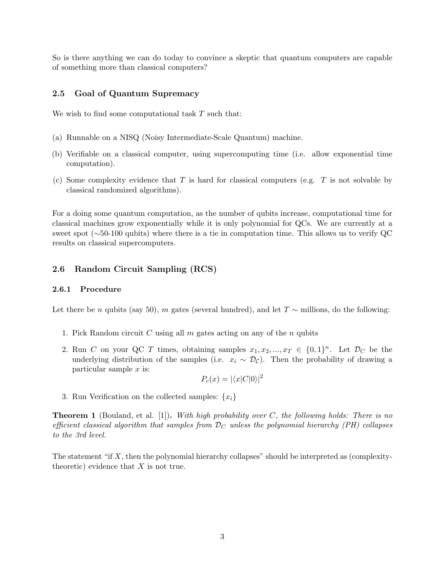So is there anything we can do today to convince a skeptic that quantum computers are capable of something more than classical computers?

### 2.5 Goal of Quantum Supremacy

We wish to find some computational task  $T$  such that:

- (a) Runnable on a NISQ (Noisy Intermediate-Scale Quantum) machine.
- (b) Verifiable on a classical computer, using supercomputing time (i.e. allow exponential time computation).
- (c) Some complexity evidence that  $T$  is hard for classical computers (e.g.  $T$  is not solvable by classical randomized algorithms).

For a doing some quantum computation, as the number of qubits increase, computational time for classical machines grow exponentially while it is only polynomial for QCs. We are currently at a sweet spot (∼50-100 qubits) where there is a tie in computation time. This allows us to verify QC results on classical supercomputers.

### 2.6 Random Circuit Sampling (RCS)

#### 2.6.1 Procedure

Let there be n qubits (say 50), m gates (several hundred), and let  $T \sim$  millions, do the following:

- 1. Pick Random circuit C using all m gates acting on any of the n qubits
- 2. Run C on your QC T times, obtaining samples  $x_1, x_2, ..., x_T \in \{0, 1\}^n$ . Let  $\mathcal{D}_C$  be the underlying distribution of the samples (i.e.  $x_i \sim \mathcal{D}_{\mathcal{C}}$ ). Then the probability of drawing a particular sample  $x$  is:

$$
P_c(x) = |\langle x|C|0\rangle|^2
$$

3. Run Verification on the collected samples:  $\{x_i\}$ 

**Theorem 1** (Bouland, et al. [1]). With high probability over C, the following holds: There is no efficient classical algorithm that samples from  $\mathcal{D}_C$  unless the polynomial hierarchy (PH) collapses to the 3rd level.

The statement "if  $X$ , then the polynomial hierarchy collapses" should be interpreted as (complexitytheoretic) evidence that  $X$  is not true.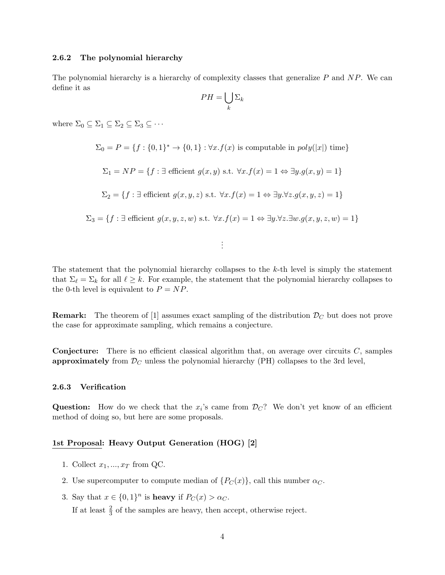#### 2.6.2 The polynomial hierarchy

The polynomial hierarchy is a hierarchy of complexity classes that generalize  $P$  and  $NP$ . We can define it as

$$
PH = \bigcup_{k} \Sigma_k
$$

where  $\Sigma_0 \subseteq \Sigma_1 \subseteq \Sigma_2 \subseteq \Sigma_3 \subseteq \cdots$ 

$$
\Sigma_0 = P = \{f : \{0, 1\}^* \to \{0, 1\} : \forall x . f(x) \text{ is computable in } poly(|x|) \text{ time}\}
$$
  

$$
\Sigma_1 = NP = \{f : \exists \text{ efficient } g(x, y) \text{ s.t. } \forall x . f(x) = 1 \Leftrightarrow \exists y . g(x, y) = 1\}
$$
  

$$
\Sigma_2 = \{f : \exists \text{ efficient } g(x, y, z) \text{ s.t. } \forall x . f(x) = 1 \Leftrightarrow \exists y . \forall z . g(x, y, z) = 1\}
$$
  

$$
\Sigma_3 = \{f : \exists \text{ efficient } g(x, y, z, w) \text{ s.t. } \forall x . f(x) = 1 \Leftrightarrow \exists y . \forall z . \exists w . g(x, y, z, w) = 1\}
$$

The statement that the polynomial hierarchy collapses to the  $k$ -th level is simply the statement that  $\Sigma_{\ell} = \Sigma_k$  for all  $\ell \geq k$ . For example, the statement that the polynomial hierarchy collapses to the 0-th level is equivalent to  $P = NP$ .

. . .

**Remark:** The theorem of [1] assumes exact sampling of the distribution  $\mathcal{D}_C$  but does not prove the case for approximate sampling, which remains a conjecture.

**Conjecture:** There is no efficient classical algorithm that, on average over circuits  $C$ , samples approximately from  $\mathcal{D}_C$  unless the polynomial hierarchy (PH) collapses to the 3rd level,

#### 2.6.3 Verification

Question: How do we check that the  $x_i$ 's came from  $\mathcal{D}_C$ ? We don't yet know of an efficient method of doing so, but here are some proposals.

### 1st Proposal: Heavy Output Generation (HOG) [2]

- 1. Collect  $x_1, ..., x_T$  from QC.
- 2. Use supercomputer to compute median of  $\{P_C(x)\}\)$ , call this number  $\alpha_C$ .
- 3. Say that  $x \in \{0,1\}^n$  is **heavy** if  $P_C(x) > \alpha_C$ .

If at least  $\frac{2}{3}$  of the samples are heavy, then accept, otherwise reject.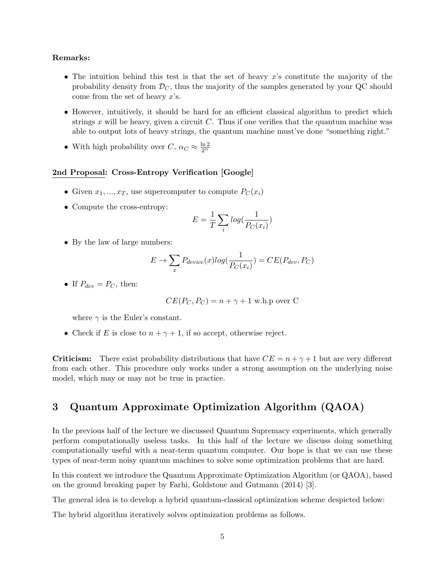### Remarks:

- The intuition behind this test is that the set of heavy x's constitute the majority of the probability density from  $\mathcal{D}_C$ , thus the majority of the samples generated by your QC should come from the set of heavy  $x$ 's.
- However, intuitively, it should be hard for an efficient classical algorithm to predict which strings  $x$  will be heavy, given a circuit  $C$ . Thus if one verifies that the quantum machine was able to output lots of heavy strings, the quantum machine must've done "something right."
- With high probability over  $C, \alpha_C \approx \frac{\ln 2}{2^n}$

#### 2nd Proposal: Cross-Entropy Verification [Google]

- Given  $x_1, ..., x_T$ , use supercomputer to compute  $P_C(x_i)$
- Compute the cross-entropy:

$$
E = \frac{1}{T} \sum_{i} log(\frac{1}{P_C(x_i)})
$$

• By the law of large numbers:

$$
E \to \sum_{x} P_{device}(x) \log(\frac{1}{P_C(x_i)}) = CE(P_{dev}, P_C)
$$

• If  $P_{dev} = P_C$ , then:

$$
CE(P_C, P_C) = n + \gamma + 1
$$
 w.h.p over C

where  $\gamma$  is the Euler's constant.

• Check if E is close to  $n + \gamma + 1$ , if so accept, otherwise reject.

**Criticism:** There exist probability distributions that have  $CE = n + \gamma + 1$  but are very different from each other. This procedure only works under a strong assumption on the underlying noise model, which may or may not be true in practice.

## 3 Quantum Approximate Optimization Algorithm (QAOA)

In the previous half of the lecture we discussed Quantum Supremacy experiments, which generally perform computationally useless tasks. In this half of the lecture we discuss doing something computationally useful with a near-term quantum computer. Our hope is that we can use these types of near-term noisy quantum machines to solve some optimization problems that are hard.

In this context we introduce the Quantum Approximate Optimization Algorithm (or QAOA), based on the ground breaking paper by Farhi, Goldstone and Gutmann (2014) [3].

The general idea is to develop a hybrid quantum-classical optimization scheme despicted below:

The hybrid algorithm iteratively solves optimization problems as follows.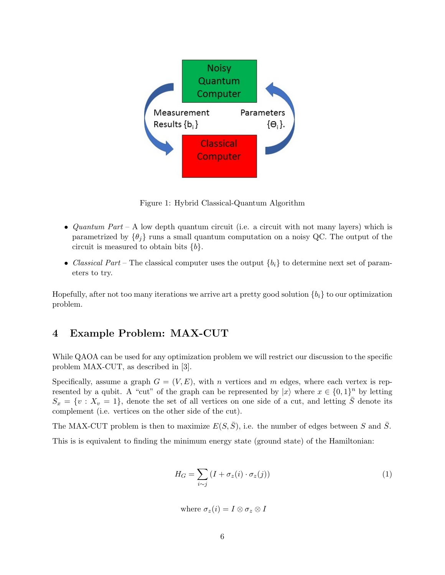

Figure 1: Hybrid Classical-Quantum Algorithm

- *Quantum Part* A low depth quantum circuit (i.e. a circuit with not many layers) which is parametrized by  $\{\theta_i\}$  runs a small quantum computation on a noisy QC. The output of the circuit is measured to obtain bits  ${b}$ .
- Classical Part The classical computer uses the output  ${b_i}$  to determine next set of parameters to try.

Hopefully, after not too many iterations we arrive art a pretty good solution  $\{b_i\}$  to our optimization problem.

# 4 Example Problem: MAX-CUT

While QAOA can be used for any optimization problem we will restrict our discussion to the specific problem MAX-CUT, as described in [3].

Specifically, assume a graph  $G = (V, E)$ , with n vertices and m edges, where each vertex is represented by a qubit. A "cut" of the graph can be represented by  $|x\rangle$  where  $x \in \{0,1\}^n$  by letting  $S_x = \{v : X_v = 1\}$ , denote the set of all vertices on one side of a cut, and letting  $\overline{S}$  denote its complement (i.e. vertices on the other side of the cut).

The MAX-CUT problem is then to maximize  $E(S,\bar{S})$ , i.e. the number of edges between S and  $\bar{S}$ . This is is equivalent to finding the minimum energy state (ground state) of the Hamiltonian:

$$
H_G = \sum_{i \sim j} (I + \sigma_z(i) \cdot \sigma_z(j))
$$
\n(1)

where  $\sigma_z(i) = I \otimes \sigma_z \otimes I$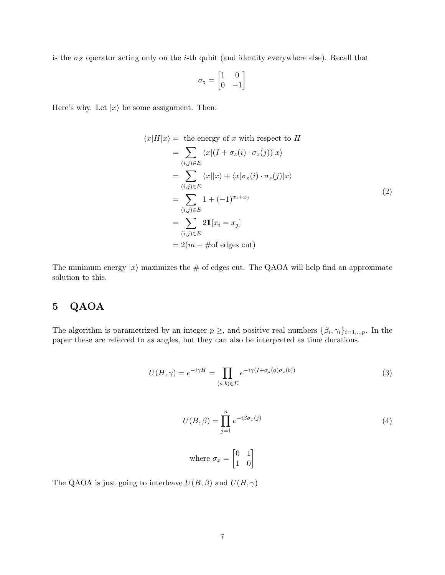is the  $\sigma_Z$  operator acting only on the *i*-th qubit (and identity everywhere else). Recall that

$$
\sigma_z = \begin{bmatrix} 1 & 0 \\ 0 & -1 \end{bmatrix}
$$

Here's why. Let  $|x\rangle$  be some assignment. Then:

$$
\langle x|H|x\rangle = \text{ the energy of } x \text{ with respect to } H
$$
  
\n
$$
= \sum_{(i,j)\in E} \langle x|(I + \sigma_z(i)\cdot\sigma_z(j))|x\rangle
$$
  
\n
$$
= \sum_{(i,j)\in E} \langle x||x\rangle + \langle x|\sigma_z(i)\cdot\sigma_z(j)|x\rangle
$$
  
\n
$$
= \sum_{(i,j)\in E} 1 + (-1)^{x_i + x_j}
$$
  
\n
$$
= \sum_{(i,j)\in E} 2\mathbb{1}[x_i = x_j]
$$
  
\n
$$
= 2(m - # of edges cut)
$$

The minimum energy  $|x\rangle$  maximizes the # of edges cut. The QAOA will help find an approximate solution to this.

# 5 QAOA

The algorithm is parametrized by an integer  $p \geq$ , and positive real numbers  $\{\beta_i, \gamma_i\}_{i=1,\dots,p}$ . In the paper these are referred to as angles, but they can also be interpreted as time durations.

$$
U(H,\gamma) = e^{-i\gamma H} = \prod_{(a,b)\in E} e^{-i\gamma(I+\sigma_z(a)\sigma_z(b))}
$$
\n(3)

$$
U(B,\beta) = \prod_{j=1}^{n} e^{-i\beta \sigma_x(j)} \tag{4}
$$

where 
$$
\sigma_x = \begin{bmatrix} 0 & 1 \\ 1 & 0 \end{bmatrix}
$$

The QAOA is just going to interleave  $U(B, \beta)$  and  $U(H, \gamma)$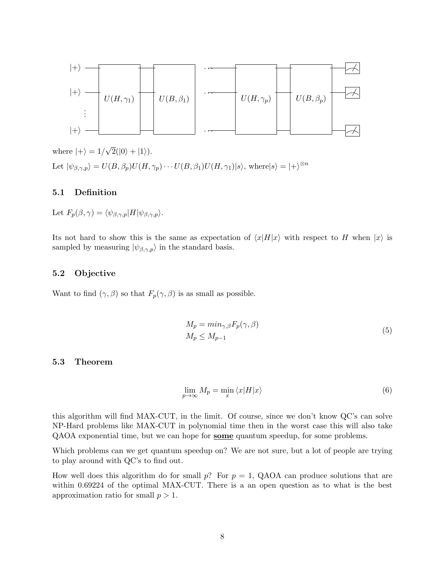

where  $|+\rangle = 1/$ √  $2(|0\rangle + |1\rangle).$ Let  $|\psi_{\beta,\gamma,p}\rangle = U(B,\beta_p)U(H,\gamma_p)\cdots U(B,\beta_1)U(H,\gamma_1)|s\rangle$ , where  $|s\rangle = |+\rangle^{\otimes n}$ 

## 5.1 Definition

Let  $F_p(\beta, \gamma) = \langle \psi_{\beta, \gamma, p} | H | \psi_{\beta, \gamma, p} \rangle$ .

Its not hard to show this is the same as expectation of  $\langle x|H|x\rangle$  with respect to H when  $|x\rangle$  is sampled by measuring  $|\psi_{\beta,\gamma,p}\rangle$  in the standard basis.

### 5.2 Objective

Want to find  $(\gamma, \beta)$  so that  $F_p(\gamma, \beta)$  is as small as possible.

$$
M_p = \min_{\gamma, \beta} F_p(\gamma, \beta)
$$
  
\n
$$
M_p \le M_{p-1}
$$
\n(5)

#### 5.3 Theorem

$$
\lim_{p \to \infty} M_p = \min_x \langle x | H | x \rangle \tag{6}
$$

this algorithm will find MAX-CUT, in the limit. Of course, since we don't know QC's can solve NP-Hard problems like MAX-CUT in polynomial time then in the worst case this will also take QAOA exponential time, but we can hope for some quantum speedup, for some problems.

Which problems can we get quantum speedup on? We are not sure, but a lot of people are trying to play around with QC's to find out.

How well does this algorithm do for small p? For  $p = 1$ , QAOA can produce solutions that are within 0.69224 of the optimal MAX-CUT. There is a an open question as to what is the best approximation ratio for small  $p > 1$ .